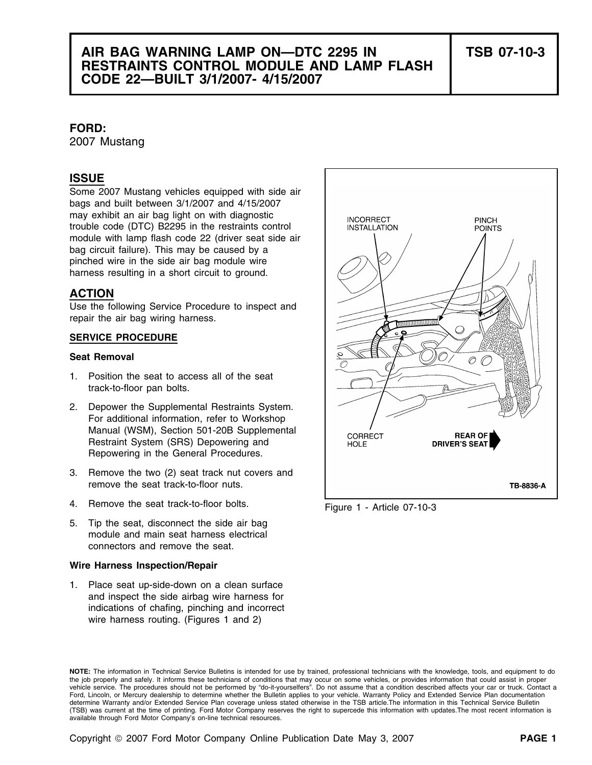# **AIR BAG WARNING LAMP ON—DTC 2295 IN TSB 07-10-3 RESTRAINTS CONTROL MODULE AND LAMP FLASH CODE 22—BUILT 3/1/2007- 4/15/2007**

## **FORD:**

2007 Mustang

# **ISSUE**

Some 2007 Mustang vehicles equipped with side air bags and built between 3/1/2007 and 4/15/2007 may exhibit an air bag light on with diagnostic trouble code (DTC) B2295 in the restraints control module with lamp flash code 22 (driver seat side air bag circuit failure). This may be caused by a pinched wire in the side air bag module wire harness resulting in a short circuit to ground.

## **ACTION**

Use the following Service Procedure to inspect and repair the air bag wiring harness.

## **SERVICE PROCEDURE**

## **Seat Removal**

- 1. Position the seat to access all of the seat track-to-floor pan bolts.
- 2. Depower the Supplemental Restraints System. For additional information, refer to Workshop Manual (WSM), Section 501-20B Supplemental Restraint System (SRS) Depowering and Repowering in the General Procedures.
- 3. Remove the two (2) seat track nut covers and remove the seat track-to-floor nuts.
- 4. Remove the seat track-to-floor bolts. Figure 1 Article 07-10-3
- 5. Tip the seat, disconnect the side air bag module and main seat harness electrical connectors and remove the seat.

## **Wire Harness Inspection/Repair**

1. Place seat up-side-down on a clean surface and inspect the side airbag wire harness for indications of chafing, pinching and incorrect wire harness routing. (Figures 1 and 2)



**NOTE:** The information in Technical Service Bulletins is intended for use by trained, professional technicians with the knowledge, tools, and equipment to do the job properly and safely. It informs these technicians of conditions that may occur on some vehicles, or provides information that could assist in proper vehicle service. The procedures should not be performed by "do-it-yourselfers". Do not assume that a condition described affects your car or truck. Contact a Ford, Lincoln, or Mercury dealership to determine whether the Bulletin applies to your vehicle. Warranty Policy and Extended Service Plan documentation determine Warranty and/or Extended Service Plan coverage unless stated otherwise in the TSB article.The information in this Technical Service Bulletin (TSB) was current at the time of printing. Ford Motor Company reserves the right to supercede this information with updates.The most recent information is available through Ford Motor Company's on-line technical resources.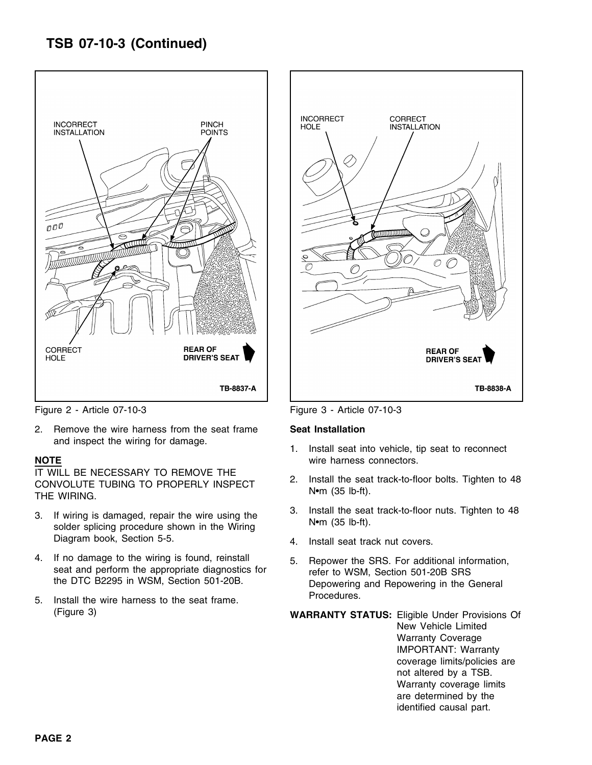# **TSB 07-10-3 (Continued)**



Figure 2 - Article 07-10-3 Figure 3 - Article 07-10-3

2. Remove the wire harness from the seat frame **Seat Installation** 

IT WILL BE NECESSARY TO REMOVE THE<br>CONVOLUTE TUBING TO PROPERLY INSPECT 2. Install the seat track-to-floor bolts. Tighten to 48<br>THE WIRING.

- Diagram book, Section 5-5. 4. Install seat track nut covers.
- 4. If no damage to the wiring is found, reinstall 5. Repower the SRS. For additional information, seat and perform the appropriate diagnostics for the SRS section 501-20B SRS the DTC B2295 in WSM, Section 501-20B.
- Procedures. 5. Install the wire harness to the seat frame. (Figure 3) **WARRANTY STATUS:** Eligible Under Provisions Of



- and inspect the wiring for damage.<br>1. Install seat into vehicle, tip seat to reconnect **NOTE** wire harness connectors.
	-
- 3. If wiring is damaged, repair the wire using the 3. Install the seat track-to-floor nuts. Tighten to 48 solder splicing procedure shown in the Wiring N•m (35 lb-ft).
	-
	- Depowering and Repowering in the General

New Vehicle Limited Warranty Coverage IMPORTANT: Warranty coverage limits/policies are not altered by a TSB. Warranty coverage limits are determined by the identified causal part.